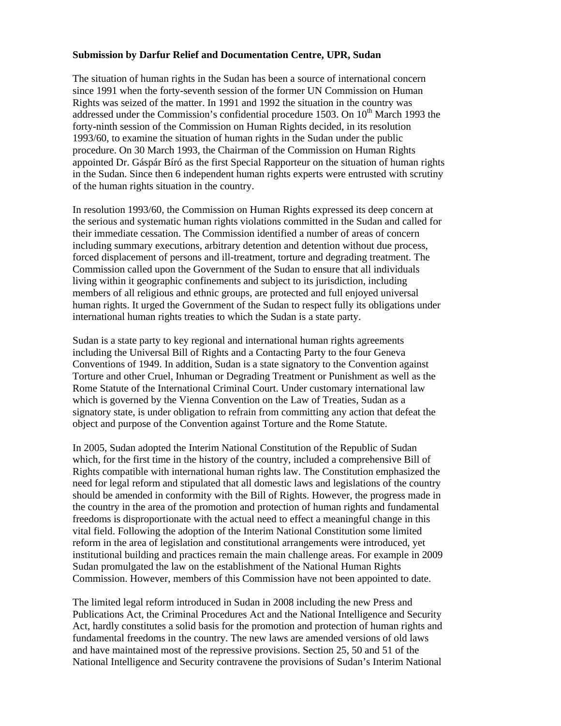## **Submission by Darfur Relief and Documentation Centre, UPR, Sudan**

The situation of human rights in the Sudan has been a source of international concern since 1991 when the forty-seventh session of the former UN Commission on Human Rights was seized of the matter. In 1991 and 1992 the situation in the country was addressed under the Commission's confidential procedure 1503. On  $10<sup>th</sup>$  March 1993 the forty-ninth session of the Commission on Human Rights decided, in its resolution 1993/60, to examine the situation of human rights in the Sudan under the public procedure. On 30 March 1993, the Chairman of the Commission on Human Rights appointed Dr. Gáspár Bíró as the first Special Rapporteur on the situation of human rights in the Sudan. Since then 6 independent human rights experts were entrusted with scrutiny of the human rights situation in the country.

In resolution 1993/60, the Commission on Human Rights expressed its deep concern at the serious and systematic human rights violations committed in the Sudan and called for their immediate cessation. The Commission identified a number of areas of concern including summary executions, arbitrary detention and detention without due process, forced displacement of persons and ill-treatment, torture and degrading treatment. The Commission called upon the Government of the Sudan to ensure that all individuals living within it geographic confinements and subject to its jurisdiction, including members of all religious and ethnic groups, are protected and full enjoyed universal human rights. It urged the Government of the Sudan to respect fully its obligations under international human rights treaties to which the Sudan is a state party.

Sudan is a state party to key regional and international human rights agreements including the Universal Bill of Rights and a Contacting Party to the four Geneva Conventions of 1949. In addition, Sudan is a state signatory to the Convention against Torture and other Cruel, Inhuman or Degrading Treatment or Punishment as well as the Rome Statute of the International Criminal Court. Under customary international law which is governed by the Vienna Convention on the Law of Treaties, Sudan as a signatory state, is under obligation to refrain from committing any action that defeat the object and purpose of the Convention against Torture and the Rome Statute.

In 2005, Sudan adopted the Interim National Constitution of the Republic of Sudan which, for the first time in the history of the country, included a comprehensive Bill of Rights compatible with international human rights law. The Constitution emphasized the need for legal reform and stipulated that all domestic laws and legislations of the country should be amended in conformity with the Bill of Rights. However, the progress made in the country in the area of the promotion and protection of human rights and fundamental freedoms is disproportionate with the actual need to effect a meaningful change in this vital field. Following the adoption of the Interim National Constitution some limited reform in the area of legislation and constitutional arrangements were introduced, yet institutional building and practices remain the main challenge areas. For example in 2009 Sudan promulgated the law on the establishment of the National Human Rights Commission. However, members of this Commission have not been appointed to date.

The limited legal reform introduced in Sudan in 2008 including the new Press and Publications Act, the Criminal Procedures Act and the National Intelligence and Security Act, hardly constitutes a solid basis for the promotion and protection of human rights and fundamental freedoms in the country. The new laws are amended versions of old laws and have maintained most of the repressive provisions. Section 25, 50 and 51 of the National Intelligence and Security contravene the provisions of Sudan's Interim National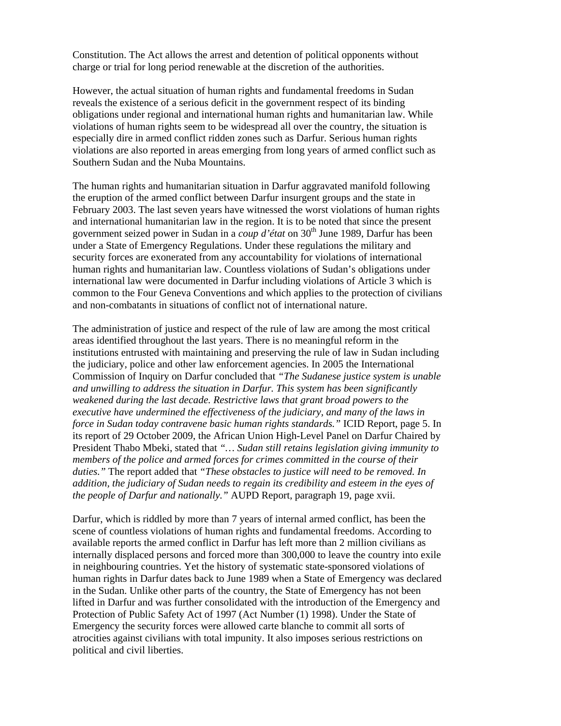Constitution. The Act allows the arrest and detention of political opponents without charge or trial for long period renewable at the discretion of the authorities.

However, the actual situation of human rights and fundamental freedoms in Sudan reveals the existence of a serious deficit in the government respect of its binding obligations under regional and international human rights and humanitarian law. While violations of human rights seem to be widespread all over the country, the situation is especially dire in armed conflict ridden zones such as Darfur. Serious human rights violations are also reported in areas emerging from long years of armed conflict such as Southern Sudan and the Nuba Mountains.

The human rights and humanitarian situation in Darfur aggravated manifold following the eruption of the armed conflict between Darfur insurgent groups and the state in February 2003. The last seven years have witnessed the worst violations of human rights and international humanitarian law in the region. It is to be noted that since the present government seized power in Sudan in a *coup d'état* on 30<sup>th</sup> June 1989, Darfur has been under a State of Emergency Regulations. Under these regulations the military and security forces are exonerated from any accountability for violations of international human rights and humanitarian law. Countless violations of Sudan's obligations under international law were documented in Darfur including violations of Article 3 which is common to the Four Geneva Conventions and which applies to the protection of civilians and non-combatants in situations of conflict not of international nature.

The administration of justice and respect of the rule of law are among the most critical areas identified throughout the last years. There is no meaningful reform in the institutions entrusted with maintaining and preserving the rule of law in Sudan including the judiciary, police and other law enforcement agencies. In 2005 the International Commission of Inquiry on Darfur concluded that *"The Sudanese justice system is unable and unwilling to address the situation in Darfur. This system has been significantly weakened during the last decade. Restrictive laws that grant broad powers to the executive have undermined the effectiveness of the judiciary, and many of the laws in force in Sudan today contravene basic human rights standards."* ICID Report, page 5. In its report of 29 October 2009, the African Union High-Level Panel on Darfur Chaired by President Thabo Mbeki, stated that *"… Sudan still retains legislation giving immunity to members of the police and armed forces for crimes committed in the course of their duties."* The report added that *"These obstacles to justice will need to be removed. In addition, the judiciary of Sudan needs to regain its credibility and esteem in the eyes of the people of Darfur and nationally."* AUPD Report, paragraph 19, page xvii.

Darfur, which is riddled by more than 7 years of internal armed conflict, has been the scene of countless violations of human rights and fundamental freedoms. According to available reports the armed conflict in Darfur has left more than 2 million civilians as internally displaced persons and forced more than 300,000 to leave the country into exile in neighbouring countries. Yet the history of systematic state-sponsored violations of human rights in Darfur dates back to June 1989 when a State of Emergency was declared in the Sudan. Unlike other parts of the country, the State of Emergency has not been lifted in Darfur and was further consolidated with the introduction of the Emergency and Protection of Public Safety Act of 1997 (Act Number (1) 1998). Under the State of Emergency the security forces were allowed carte blanche to commit all sorts of atrocities against civilians with total impunity. It also imposes serious restrictions on political and civil liberties.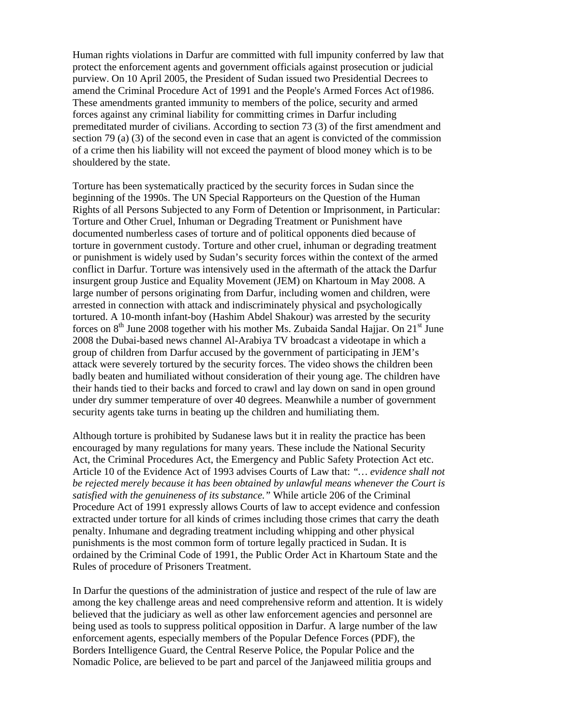Human rights violations in Darfur are committed with full impunity conferred by law that protect the enforcement agents and government officials against prosecution or judicial purview. On 10 April 2005, the President of Sudan issued two Presidential Decrees to amend the Criminal Procedure Act of 1991 and the People's Armed Forces Act of1986. These amendments granted immunity to members of the police, security and armed forces against any criminal liability for committing crimes in Darfur including premeditated murder of civilians. According to section 73 (3) of the first amendment and section 79 (a) (3) of the second even in case that an agent is convicted of the commission of a crime then his liability will not exceed the payment of blood money which is to be shouldered by the state.

Torture has been systematically practiced by the security forces in Sudan since the beginning of the 1990s. The UN Special Rapporteurs on the Question of the Human Rights of all Persons Subjected to any Form of Detention or Imprisonment, in Particular: Torture and Other Cruel, Inhuman or Degrading Treatment or Punishment have documented numberless cases of torture and of political opponents died because of torture in government custody. Torture and other cruel, inhuman or degrading treatment or punishment is widely used by Sudan's security forces within the context of the armed conflict in Darfur. Torture was intensively used in the aftermath of the attack the Darfur insurgent group Justice and Equality Movement (JEM) on Khartoum in May 2008. A large number of persons originating from Darfur, including women and children, were arrested in connection with attack and indiscriminately physical and psychologically tortured. A 10-month infant-boy (Hashim Abdel Shakour) was arrested by the security forces on  $8<sup>th</sup>$  June 2008 together with his mother Ms. Zubaida Sandal Hajjar. On  $21<sup>st</sup>$  June 2008 the Dubai-based news channel Al-Arabiya TV broadcast a videotape in which a group of children from Darfur accused by the government of participating in JEM's attack were severely tortured by the security forces. The video shows the children been badly beaten and humiliated without consideration of their young age. The children have their hands tied to their backs and forced to crawl and lay down on sand in open ground under dry summer temperature of over 40 degrees. Meanwhile a number of government security agents take turns in beating up the children and humiliating them.

Although torture is prohibited by Sudanese laws but it in reality the practice has been encouraged by many regulations for many years. These include the National Security Act, the Criminal Procedures Act, the Emergency and Public Safety Protection Act etc. Article 10 of the Evidence Act of 1993 advises Courts of Law that: *"… evidence shall not be rejected merely because it has been obtained by unlawful means whenever the Court is satisfied with the genuineness of its substance."* While article 206 of the Criminal Procedure Act of 1991 expressly allows Courts of law to accept evidence and confession extracted under torture for all kinds of crimes including those crimes that carry the death penalty. Inhumane and degrading treatment including whipping and other physical punishments is the most common form of torture legally practiced in Sudan. It is ordained by the Criminal Code of 1991, the Public Order Act in Khartoum State and the Rules of procedure of Prisoners Treatment.

In Darfur the questions of the administration of justice and respect of the rule of law are among the key challenge areas and need comprehensive reform and attention. It is widely believed that the judiciary as well as other law enforcement agencies and personnel are being used as tools to suppress political opposition in Darfur. A large number of the law enforcement agents, especially members of the Popular Defence Forces (PDF), the Borders Intelligence Guard*,* the Central Reserve Police, the Popular Police and the Nomadic Police, are believed to be part and parcel of the Janjaweed militia groups and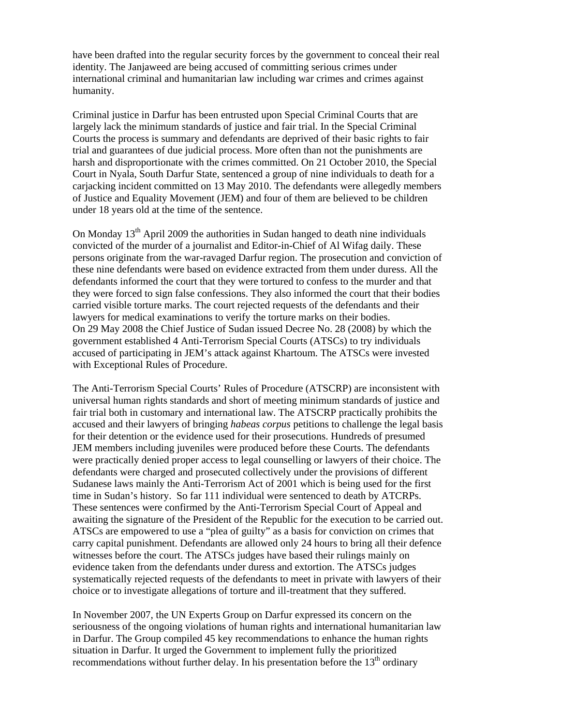have been drafted into the regular security forces by the government to conceal their real identity. The Janjaweed are being accused of committing serious crimes under international criminal and humanitarian law including war crimes and crimes against humanity.

Criminal justice in Darfur has been entrusted upon Special Criminal Courts that are largely lack the minimum standards of justice and fair trial. In the Special Criminal Courts the process is summary and defendants are deprived of their basic rights to fair trial and guarantees of due judicial process. More often than not the punishments are harsh and disproportionate with the crimes committed. On 21 October 2010, the Special Court in Nyala, South Darfur State, sentenced a group of nine individuals to death for a carjacking incident committed on 13 May 2010. The defendants were allegedly members of Justice and Equality Movement (JEM) and four of them are believed to be children under 18 years old at the time of the sentence.

On Monday  $13<sup>th</sup>$  April 2009 the authorities in Sudan hanged to death nine individuals convicted of the murder of a journalist and Editor-in-Chief of Al Wifag daily. These persons originate from the war-ravaged Darfur region. The prosecution and conviction of these nine defendants were based on evidence extracted from them under duress. All the defendants informed the court that they were tortured to confess to the murder and that they were forced to sign false confessions. They also informed the court that their bodies carried visible torture marks. The court rejected requests of the defendants and their lawyers for medical examinations to verify the torture marks on their bodies. On 29 May 2008 the Chief Justice of Sudan issued Decree No. 28 (2008) by which the government established 4 Anti-Terrorism Special Courts (ATSCs) to try individuals accused of participating in JEM's attack against Khartoum. The ATSCs were invested with Exceptional Rules of Procedure.

The Anti-Terrorism Special Courts' Rules of Procedure (ATSCRP) are inconsistent with universal human rights standards and short of meeting minimum standards of justice and fair trial both in customary and international law. The ATSCRP practically prohibits the accused and their lawyers of bringing *habeas corpus* petitions to challenge the legal basis for their detention or the evidence used for their prosecutions. Hundreds of presumed JEM members including juveniles were produced before these Courts. The defendants were practically denied proper access to legal counselling or lawyers of their choice. The defendants were charged and prosecuted collectively under the provisions of different Sudanese laws mainly the Anti-Terrorism Act of 2001 which is being used for the first time in Sudan's history. So far 111 individual were sentenced to death by ATCRPs. These sentences were confirmed by the Anti-Terrorism Special Court of Appeal and awaiting the signature of the President of the Republic for the execution to be carried out. ATSCs are empowered to use a "plea of guilty" as a basis for conviction on crimes that carry capital punishment. Defendants are allowed only 24 hours to bring all their defence witnesses before the court. The ATSCs judges have based their rulings mainly on evidence taken from the defendants under duress and extortion. The ATSCs judges systematically rejected requests of the defendants to meet in private with lawyers of their choice or to investigate allegations of torture and ill-treatment that they suffered.

In November 2007, the UN Experts Group on Darfur expressed its concern on the seriousness of the ongoing violations of human rights and international humanitarian law in Darfur. The Group compiled 45 key recommendations to enhance the human rights situation in Darfur. It urged the Government to implement fully the prioritized recommendations without further delay. In his presentation before the  $13<sup>th</sup>$  ordinary